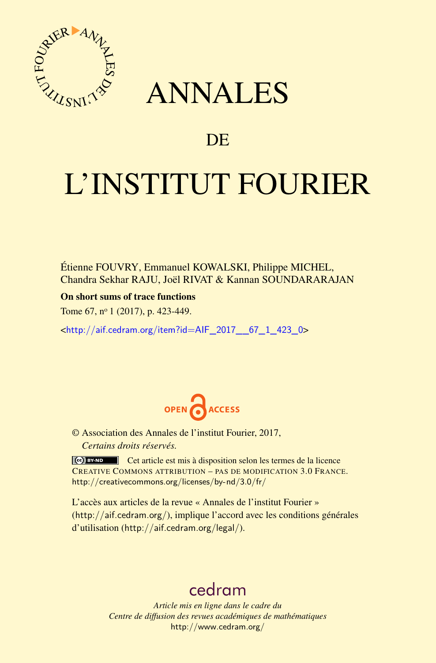

## ANNALES

### **DE**

# L'INSTITUT FOURIER

Étienne FOUVRY, Emmanuel KOWALSKI, Philippe MICHEL, Chandra Sekhar RAJU, Joël RIVAT & Kannan SOUNDARARAJAN

On short sums of trace functions

Tome 67, nº 1 (2017), p. 423-449.

<[http://aif.cedram.org/item?id=AIF\\_2017\\_\\_67\\_1\\_423\\_0](http://aif.cedram.org/item?id=AIF_2017__67_1_423_0)>



© Association des Annales de l'institut Fourier, 2017, *Certains droits réservés.*

Cet article est mis à disposition selon les termes de la licence CREATIVE COMMONS ATTRIBUTION – PAS DE MODIFICATION 3.0 FRANCE. <http://creativecommons.org/licenses/by-nd/3.0/fr/>

L'accès aux articles de la revue « Annales de l'institut Fourier » (<http://aif.cedram.org/>), implique l'accord avec les conditions générales d'utilisation (<http://aif.cedram.org/legal/>).

## [cedram](http://www.cedram.org/)

*Article mis en ligne dans le cadre du Centre de diffusion des revues académiques de mathématiques* <http://www.cedram.org/>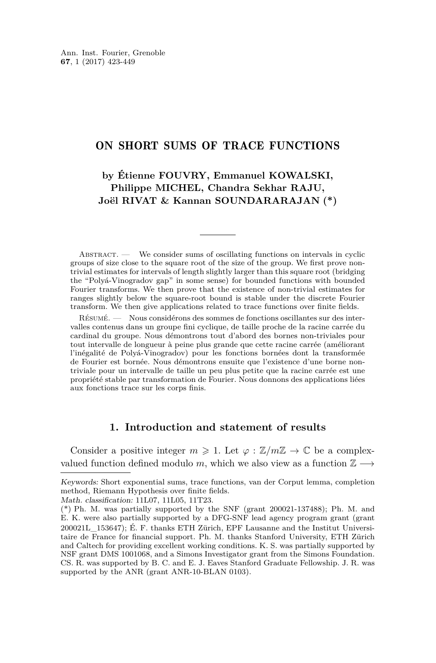#### ON SHORT SUMS OF TRACE FUNCTIONS

#### **by Étienne FOUVRY, Emmanuel KOWALSKI, Philippe MICHEL, Chandra Sekhar RAJU, Joël RIVAT & Kannan SOUNDARARAJAN (\*)**

ABSTRACT. — We consider sums of oscillating functions on intervals in cyclic groups of size close to the square root of the size of the group. We first prove nontrivial estimates for intervals of length slightly larger than this square root (bridging the "Polyá-Vinogradov gap" in some sense) for bounded functions with bounded Fourier transforms. We then prove that the existence of non-trivial estimates for ranges slightly below the square-root bound is stable under the discrete Fourier transform. We then give applications related to trace functions over finite fields.

Résumé. — Nous considérons des sommes de fonctions oscillantes sur des intervalles contenus dans un groupe fini cyclique, de taille proche de la racine carrée du cardinal du groupe. Nous démontrons tout d'abord des bornes non-triviales pour tout intervalle de longueur à peine plus grande que cette racine carrée (améliorant l'inégalité de Polyá-Vinogradov) pour les fonctions bornées dont la transformée de Fourier est bornée. Nous démontrons ensuite que l'existence d'une borne nontriviale pour un intervalle de taille un peu plus petite que la racine carrée est une propriété stable par transformation de Fourier. Nous donnons des applications liées aux fonctions trace sur les corps finis.

#### **1. Introduction and statement of results**

Consider a positive integer  $m \geq 1$ . Let  $\varphi : \mathbb{Z}/m\mathbb{Z} \to \mathbb{C}$  be a complexvalued function defined modulo *m*, which we also view as a function  $\mathbb{Z} \longrightarrow$ 

Keywords: Short exponential sums, trace functions, van der Corput lemma, completion method, Riemann Hypothesis over finite fields.

Math. classification: 11L07, 11L05, 11T23.

<sup>(\*)</sup> Ph. M. was partially supported by the SNF (grant 200021-137488); Ph. M. and E. K. were also partially supported by a DFG-SNF lead agency program grant (grant 200021L\_153647); É. F. thanks ETH Zürich, EPF Lausanne and the Institut Universitaire de France for financial support. Ph. M. thanks Stanford University, ETH Zürich and Caltech for providing excellent working conditions. K. S. was partially supported by NSF grant DMS 1001068, and a Simons Investigator grant from the Simons Foundation. CS. R. was supported by B. C. and E. J. Eaves Stanford Graduate Fellowship. J. R. was supported by the ANR (grant ANR-10-BLAN 0103).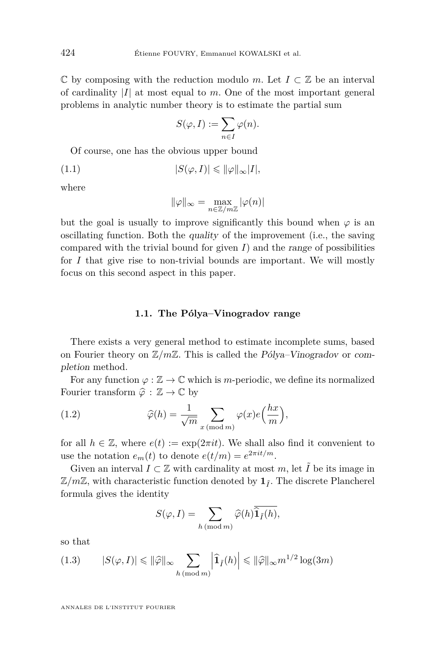$\mathbb C$  by composing with the reduction modulo *m*. Let  $I \subset \mathbb Z$  be an interval of cardinality |*I*| at most equal to *m*. One of the most important general problems in analytic number theory is to estimate the partial sum

$$
S(\varphi, I) := \sum_{n \in I} \varphi(n).
$$

Of course, one has the obvious upper bound

$$
(1.1) \t |S(\varphi, I)| \leqslant ||\varphi||_{\infty}|I|,
$$

where

$$
\|\varphi\|_\infty = \max_{n\in\mathbb{Z}/m\mathbb{Z}} |\varphi(n)|
$$

but the goal is usually to improve significantly this bound when  $\varphi$  is an oscillating function. Both the quality of the improvement (i.e., the saving compared with the trivial bound for given  $I$ ) and the range of possibilities for *I* that give rise to non-trivial bounds are important. We will mostly focus on this second aspect in this paper.

#### **1.1. The Pólya–Vinogradov range**

There exists a very general method to estimate incomplete sums, based on Fourier theory on Z*/m*Z. This is called the Pólya–Vinogradov or completion method.

For any function  $\varphi : \mathbb{Z} \to \mathbb{C}$  which is *m*-periodic, we define its normalized Fourier transform  $\hat{\varphi}: \mathbb{Z} \to \mathbb{C}$  by

(1.2) 
$$
\widehat{\varphi}(h) = \frac{1}{\sqrt{m}} \sum_{x \pmod{m}} \varphi(x) e\left(\frac{hx}{m}\right),
$$

for all  $h \in \mathbb{Z}$ , where  $e(t) := \exp(2\pi i t)$ . We shall also find it convenient to use the notation  $e_m(t)$  to denote  $e(t/m) = e^{2\pi i t/m}$ .

Given an interval  $I \subset \mathbb{Z}$  with cardinality at most  $m$ , let  $\tilde{I}$  be its image in  $\mathbb{Z}/m\mathbb{Z}$ , with characteristic function denoted by  $\mathbf{1}_{\tilde{I}}$ . The discrete Plancherel formula gives the identity

$$
S(\varphi, I) = \sum_{h \, (\text{mod } m)} \widehat{\varphi}(h) \widehat{\mathbf{1}_{\tilde{I}}(h)},
$$

so that

<span id="page-2-0"></span>
$$
(1.3) \qquad |S(\varphi, I)| \leq \|\widehat{\varphi}\|_{\infty} \sum_{h \, (\text{mod } m)} \left| \widehat{\mathbf{1}}_{\tilde{I}}(h) \right| \leq \|\widehat{\varphi}\|_{\infty} m^{1/2} \log(3m)
$$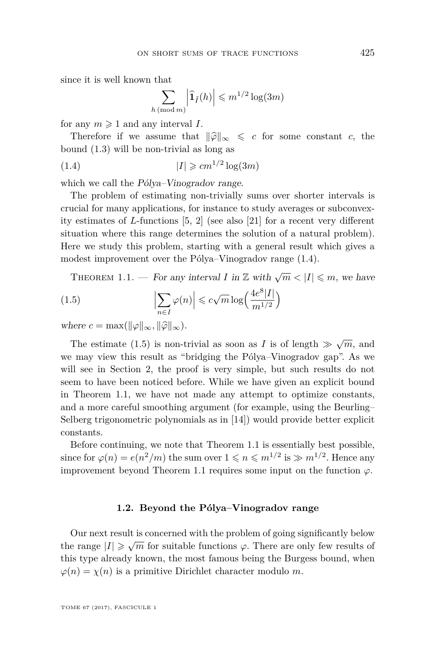since it is well known that

<span id="page-3-0"></span>
$$
\sum_{h \, (\text{mod } m)} \left| \widehat{\mathbf{1}}_{\tilde{I}}(h) \right| \leqslant m^{1/2} \log(3m)
$$

for any  $m \geq 1$  and any interval *I*.

Therefore if we assume that  $\|\widehat{\varphi}\|_{\infty} \leq c$  for some constant *c*, the bound [\(1.3\)](#page-2-0) will be non-trivial as long as

$$
(1.4) \t\t\t |I| \geqslant cm^{1/2} \log(3m)
$$

which we call the *Pólya–Vinogradov range*.

The problem of estimating non-trivially sums over shorter intervals is crucial for many applications, for instance to study averages or subconvexity estimates of *L*-functions [\[5,](#page-25-0) [2\]](#page-25-1) (see also [\[21\]](#page-26-0) for a recent very different situation where this range determines the solution of a natural problem). Here we study this problem, starting with a general result which gives a modest improvement over the Pólya–Vinogradov range [\(1.4\)](#page-3-0).

<span id="page-3-2"></span><span id="page-3-1"></span>THEOREM 1.1. — For any interval *I* in  $\mathbb{Z}$  with  $\sqrt{m} < |I| \leq m$ , we have

(1.5) 
$$
\left| \sum_{n \in I} \varphi(n) \right| \leqslant c\sqrt{m} \log \left( \frac{4e^8|I|}{m^{1/2}} \right)
$$

where  $c = \max(||\varphi||_{\infty}, ||\widehat{\varphi}||_{\infty}).$ 

The estimate [\(1.5\)](#page-3-1) is non-trivial as soon as *I* is of length  $\gg \sqrt{m}$ , and we may view this result as "bridging the Pólya–Vinogradov gap". As we will see in Section [2,](#page-8-0) the proof is very simple, but such results do not seem to have been noticed before. While we have given an explicit bound in Theorem [1.1,](#page-3-2) we have not made any attempt to optimize constants, and a more careful smoothing argument (for example, using the Beurling– Selberg trigonometric polynomials as in [\[14\]](#page-26-1)) would provide better explicit constants.

Before continuing, we note that Theorem [1.1](#page-3-2) is essentially best possible, since for  $\varphi(n) = e(n^2/m)$  the sum over  $1 \leq n \leq m^{1/2}$  is  $\gg m^{1/2}$ . Hence any improvement beyond Theorem [1.1](#page-3-2) requires some input on the function  $\varphi$ .

#### **1.2. Beyond the Pólya–Vinogradov range**

<span id="page-3-3"></span>Our next result is concerned with the problem of going significantly below the range  $|I| \ge \sqrt{m}$  for suitable functions  $\varphi$ . There are only few results of this type already known, the most famous being the Burgess bound, when  $\varphi(n) = \chi(n)$  is a primitive Dirichlet character modulo *m*.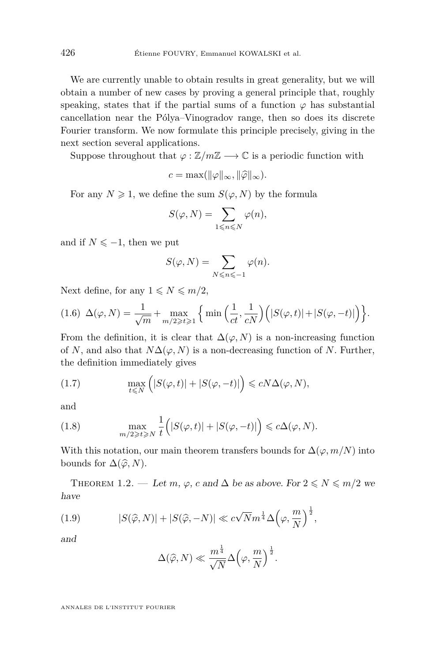We are currently unable to obtain results in great generality, but we will obtain a number of new cases by proving a general principle that, roughly speaking, states that if the partial sums of a function  $\varphi$  has substantial cancellation near the Pólya–Vinogradov range, then so does its discrete Fourier transform. We now formulate this principle precisely, giving in the next section several applications.

Suppose throughout that  $\varphi : \mathbb{Z}/m\mathbb{Z} \longrightarrow \mathbb{C}$  is a periodic function with

$$
c = \max(\|\varphi\|_{\infty}, \|\widehat{\varphi}\|_{\infty}).
$$

For any  $N \geq 1$ , we define the sum  $S(\varphi, N)$  by the formula

$$
S(\varphi, N) = \sum_{1 \leq n \leq N} \varphi(n),
$$

and if  $N \leq -1$ , then we put

$$
S(\varphi, N) = \sum_{N \leq n \leq -1} \varphi(n).
$$

Next define, for any  $1 \leq N \leq m/2$ ,

<span id="page-4-2"></span>
$$
(1.6)\ \Delta(\varphi,N) = \frac{1}{\sqrt{m}} + \max_{m/2 \ge t \ge 1} \left\{ \min\left(\frac{1}{ct}, \frac{1}{cN}\right) \left( |S(\varphi, t)| + |S(\varphi, -t)| \right) \right\}.
$$

From the definition, it is clear that  $\Delta(\varphi, N)$  is a non-increasing function of *N*, and also that  $N\Delta(\varphi, N)$  is a non-decreasing function of *N*. Further, the definition immediately gives

(1.7) 
$$
\max_{t \leq N} (|S(\varphi, t)| + |S(\varphi, -t)|) \leq cN\Delta(\varphi, N),
$$

and

(1.8) 
$$
\max_{m/2 \geq t \geq N} \frac{1}{t} (|S(\varphi, t)| + |S(\varphi, -t)|) \leq c \Delta(\varphi, N).
$$

With this notation, our main theorem transfers bounds for  $\Delta(\varphi, m/N)$  into bounds for  $\Delta(\widehat{\varphi}, N)$ .

<span id="page-4-0"></span>THEOREM 1.2. — Let *m*,  $\varphi$ , *c* and  $\Delta$  be as above. For  $2 \le N \le m/2$  we have

(1.9) 
$$
|S(\hat{\varphi}, N)| + |S(\hat{\varphi}, -N)| \ll c\sqrt{N}m^{\frac{1}{4}}\Delta\left(\varphi, \frac{m}{N}\right)^{\frac{1}{2}},
$$

and

<span id="page-4-1"></span>
$$
\Delta(\widehat{\varphi},N) \ll \frac{m^{\frac{1}{4}}}{\sqrt{N}} \Delta\Big(\varphi,\frac{m}{N}\Big)^{\frac{1}{2}}.
$$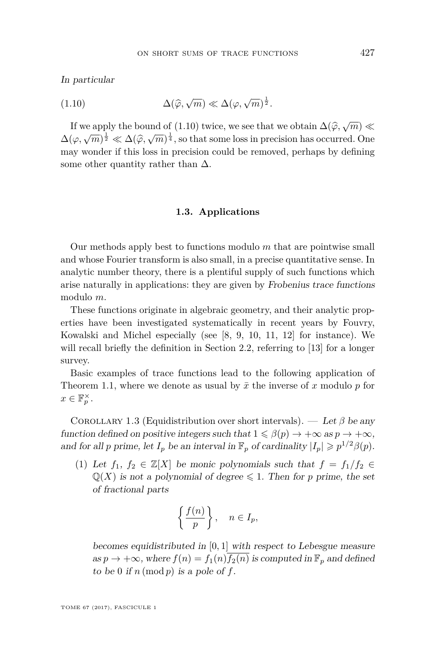In particular

<span id="page-5-0"></span>(1.10) 
$$
\Delta(\widehat{\varphi}, \sqrt{m}) \ll \Delta(\varphi, \sqrt{m})^{\frac{1}{2}}.
$$

If we apply the bound of [\(1.10\)](#page-5-0) twice, we see that we obtain  $\Delta(\hat{\varphi}, \sqrt{m}) \ll$  $\Delta(\varphi, \sqrt{m})^{\frac{1}{2}} \ll \Delta(\widehat{\varphi}, \sqrt{m})^{\frac{1}{4}}$ , so that some loss in precision has occurred. One<br>may wonder if this loss in precision eauld be removed perhaps by defining may wonder if this loss in precision could be removed, perhaps by defining some other quantity rather than  $\Delta$ .

#### **1.3. Applications**

Our methods apply best to functions modulo *m* that are pointwise small and whose Fourier transform is also small, in a precise quantitative sense. In analytic number theory, there is a plentiful supply of such functions which arise naturally in applications: they are given by Frobenius trace functions modulo *m*.

These functions originate in algebraic geometry, and their analytic properties have been investigated systematically in recent years by Fouvry, Kowalski and Michel especially (see [\[8,](#page-26-2) [9,](#page-26-3) [10,](#page-26-4) [11,](#page-26-5) [12\]](#page-26-6) for instance). We will recall briefly the definition in Section [2.2,](#page-10-0) referring to [\[13\]](#page-26-7) for a longer survey.

Basic examples of trace functions lead to the following application of Theorem [1.1,](#page-3-2) where we denote as usual by  $\bar{x}$  the inverse of x modulo p for  $x \in \mathbb{F}_p^{\times}$ .

<span id="page-5-1"></span>COROLLARY 1.3 (Equidistribution over short intervals). — Let  $\beta$  be any function defined on positive integers such that  $1 \leq \beta(p) \to +\infty$  as  $p \to +\infty$ , and for all *p* prime, let  $I_p$  be an interval in  $\mathbb{F}_p$  of cardinality  $|I_p| \geq p^{1/2} \beta(p)$ .

<span id="page-5-2"></span>(1) Let  $f_1, f_2 \in \mathbb{Z}[X]$  be monic polynomials such that  $f = f_1/f_2 \in$  $\mathbb{Q}(X)$  is not a polynomial of degree  $\leq 1$ . Then for *p* prime, the set of fractional parts

$$
\left\{\frac{f(n)}{p}\right\}, \quad n \in I_p,
$$

becomes equidistributed in [0*,* 1] with respect to Lebesgue measure as  $p \to +\infty$ , where  $f(n) = f_1(n) \overline{f_2(n)}$  is computed in  $\mathbb{F}_p$  and defined to be 0 if  $n \pmod{p}$  is a pole of  $f$ .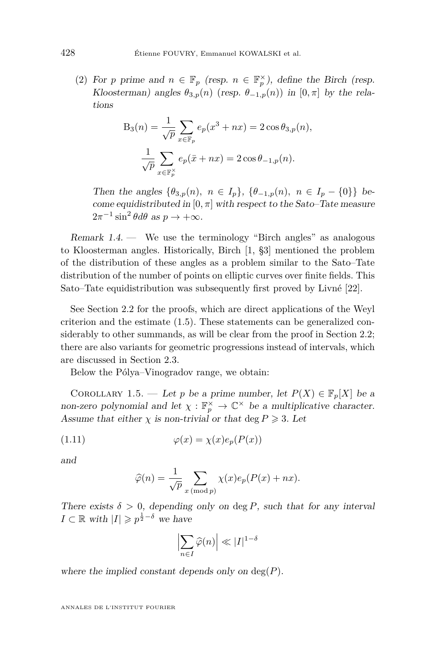<span id="page-6-1"></span>(2) For *p* prime and  $n \in \mathbb{F}_p$  (resp.  $n \in \mathbb{F}_p^{\times}$ ), define the Birch (resp. Kloosterman) angles  $\theta_{3,p}(n)$  (resp.  $\theta_{-1,p}(n)$ ) in [0,  $\pi$ ] by the relations

$$
B_3(n) = \frac{1}{\sqrt{p}} \sum_{x \in \mathbb{F}_p} e_p(x^3 + nx) = 2 \cos \theta_{3,p}(n),
$$

$$
\frac{1}{\sqrt{p}} \sum_{x \in \mathbb{F}_p^{\times}} e_p(\bar{x} + nx) = 2 \cos \theta_{-1,p}(n).
$$

Then the angles  $\{\theta_{3,p}(n), n \in I_p\}, \{\theta_{-1,p}(n), n \in I_p - \{0\}\}\$ become equidistributed in  $[0, \pi]$  with respect to the Sato–Tate measure  $2\pi^{-1}\sin^2\theta d\theta$  as  $p \to +\infty$ .

Remark  $1.4$  — We use the terminology "Birch angles" as analogous to Kloosterman angles. Historically, Birch [\[1,](#page-25-2) §3] mentioned the problem of the distribution of these angles as a problem similar to the Sato–Tate distribution of the number of points on elliptic curves over finite fields. This Sato–Tate equidistribution was subsequently first proved by Livné [\[22\]](#page-26-8).

See Section [2.2](#page-10-0) for the proofs, which are direct applications of the Weyl criterion and the estimate [\(1.5\)](#page-3-1). These statements can be generalized considerably to other summands, as will be clear from the proof in Section [2.2;](#page-10-0) there are also variants for geometric progressions instead of intervals, which are discussed in Section [2.3.](#page-14-0)

Below the Pólya–Vinogradov range, we obtain:

<span id="page-6-0"></span>COROLLARY 1.5. — Let *p* be a prime number, let  $P(X) \in \mathbb{F}_p[X]$  be a non-zero polynomial and let  $\chi : \mathbb{F}_p^{\times} \to \mathbb{C}^{\times}$  be a multiplicative character. Assume that either  $\chi$  is non-trivial or that deg  $P \geq 3$ . Let

(1.11) 
$$
\varphi(x) = \chi(x)e_p(P(x))
$$

and

<span id="page-6-2"></span>
$$
\widehat{\varphi}(n) = \frac{1}{\sqrt{p}} \sum_{x \pmod{p}} \chi(x) e_p(P(x) + nx).
$$

There exists  $\delta > 0$ , depending only on deg P, such that for any interval  $I \subset \mathbb{R}$  with  $|I| \geqslant p^{\frac{1}{2} - \delta}$  we have

$$
\left|\sum_{n\in I}\widehat{\varphi}(n)\right|\ll |I|^{1-\delta}
$$

where the implied constant depends only on deg(*P*).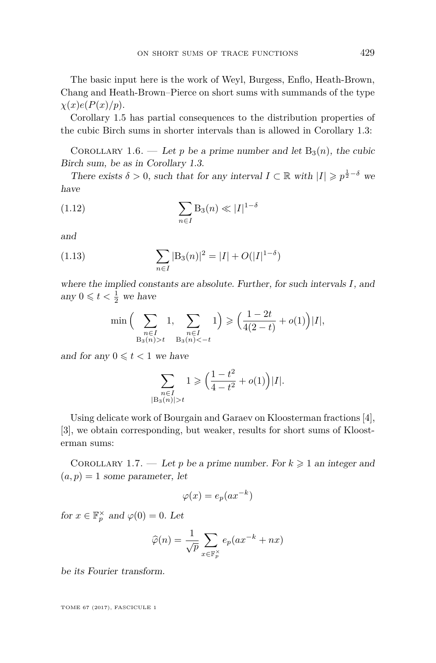The basic input here is the work of Weyl, Burgess, Enflo, Heath-Brown, Chang and Heath-Brown–Pierce on short sums with summands of the type  $\chi(x)e(P(x)/p).$ 

Corollary [1.5](#page-6-0) has partial consequences to the distribution properties of the cubic Birch sums in shorter intervals than is allowed in Corollary [1.3:](#page-5-1)

<span id="page-7-0"></span>COROLLARY 1.6. — Let p be a prime number and let  $B_3(n)$ , the cubic Birch sum, be as in Corollary [1.3.](#page-5-1)

There exists  $\delta > 0$ , such that for any interval  $I \subset \mathbb{R}$  with  $|I| \geq p^{\frac{1}{2}-\delta}$  we have

<span id="page-7-1"></span>
$$
(1.12)\qquad \qquad \sum_{n\in I} \mathcal{B}_3(n) \ll |I|^{1-\delta}
$$

and

(1.13) 
$$
\sum_{n \in I} |B_3(n)|^2 = |I| + O(|I|^{1-\delta})
$$

where the implied constants are absolute. Further, for such intervals *I*, and any  $0 \leqslant t < \frac{1}{2}$  we have

<span id="page-7-2"></span>
$$
\min\Big(\sum_{\substack{n\in I\\ \mathcal{B}_3(n)>t}}1,\sum_{\substack{n\in I\\ \mathcal{B}_3(n)<-t}}1\Big)\geqslant\Big(\frac{1-2t}{4(2-t)}+o(1)\Big)|I|,
$$

and for any  $0 \leq t < 1$  we have

$$
\sum_{\substack{n\in I\\ |\text{B}_3(n)|>t}}1\geqslant \Big(\frac{1-t^2}{4-t^2}+o(1)\Big)|I|.
$$

Using delicate work of Bourgain and Garaev on Kloosterman fractions [\[4\]](#page-25-3), [\[3\]](#page-25-4), we obtain corresponding, but weaker, results for short sums of Kloosterman sums:

<span id="page-7-3"></span>COROLLARY 1.7. — Let p be a prime number. For  $k \geq 1$  an integer and  $(a, p) = 1$  some parameter, let

$$
\varphi(x) = e_p(ax^{-k})
$$

for  $x \in \mathbb{F}_p^{\times}$  and  $\varphi(0) = 0$ . Let

$$
\widehat{\varphi}(n) = \frac{1}{\sqrt{p}} \sum_{x \in \mathbb{F}_p^{\times}} e_p(ax^{-k} + nx)
$$

be its Fourier transform.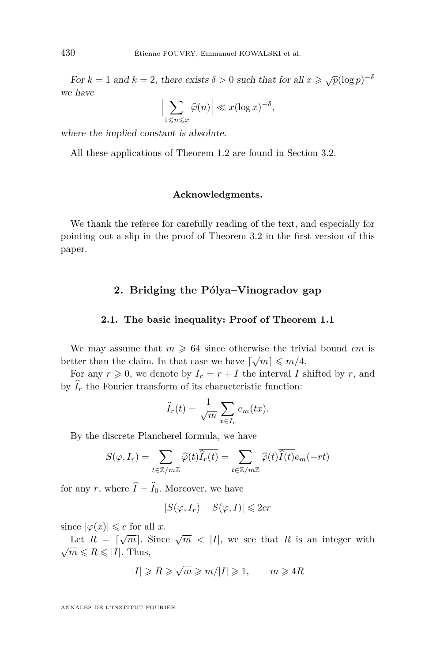For  $k = 1$  and  $k = 2$ , there exists  $\delta > 0$  such that for all  $x \geq \sqrt{p}(\log p)^{-\delta}$ we have

$$
\left|\sum_{1\leqslant n\leqslant x}\widehat{\varphi}(n)\right|\ll x(\log x)^{-\delta},\,
$$

where the implied constant is absolute.

All these applications of Theorem [1.2](#page-4-0) are found in Section [3.2.](#page-20-0)

#### **Acknowledgments.**

We thank the referee for carefully reading of the text, and especially for pointing out a slip in the proof of Theorem [3.2](#page-20-1) in the first version of this paper.

#### **2. Bridging the Pólya–Vinogradov gap**

#### <span id="page-8-0"></span>**2.1. The basic inequality: Proof of Theorem [1.1](#page-3-2)**

We may assume that  $m \geq 64$  since otherwise the trivial bound *cm* is better than the claim. In that case we have  $\lceil \sqrt{m} \rceil \leq m/4$ .

For any  $r \geq 0$ , we denote by  $I_r = r + I$  the interval *I* shifted by *r*, and by  $\widehat{I}_r$  the Fourier transform of its characteristic function:

$$
\widehat{I}_r(t) = \frac{1}{\sqrt{m}} \sum_{x \in I_r} e_m(tx).
$$

By the discrete Plancherel formula, we have

$$
S(\varphi, I_r) = \sum_{t \in \mathbb{Z}/m\mathbb{Z}} \widehat{\varphi}(t) \overline{\widehat{I}_r(t)} = \sum_{t \in \mathbb{Z}/m\mathbb{Z}} \widehat{\varphi}(t) \overline{\widehat{I}(t)} e_m(-rt)
$$

for any *r*, where  $\hat{I} = \hat{I}_0$ . Moreover, we have

$$
|S(\varphi, I_r) - S(\varphi, I)| \leq 2cr
$$

since  $|\varphi(x)| \leq c$  for all *x*.

Let  $R = \sqrt{m}$ . Since  $\sqrt{m} < |I|$ , we see that R is an integer with  $\sqrt{m} \le R \le |I|$ . Thus,

$$
|I| \geq R \geq \sqrt{m} \geq m/|I| \geq 1, \qquad m \geq 4R
$$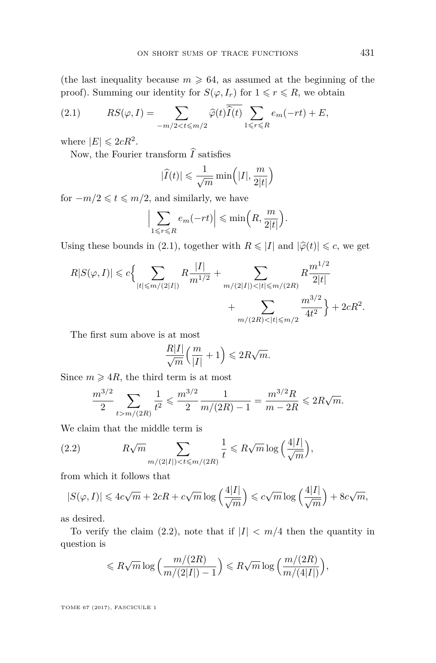(the last inequality because  $m \geq 64$ , as assumed at the beginning of the proof). Summing our identity for  $S(\varphi, I_r)$  for  $1 \leq r \leq R$ , we obtain

<span id="page-9-0"></span>(2.1) 
$$
RS(\varphi, I) = \sum_{-m/2 < t \le m/2} \widehat{\varphi}(t) \overline{\widehat{I}(t)} \sum_{1 \le r \le R} e_m(-rt) + E,
$$

where  $|E| \leqslant 2cR^2$ .

Now, the Fourier transform  $\hat{I}$  satisfies

$$
|\widehat{I}(t)| \leqslant \frac{1}{\sqrt{m}} \min\left(|I|, \frac{m}{2|t|}\right)
$$

for  $-m/2 \leq t \leq m/2$ , and similarly, we have

$$
\Big|\sum_{1\leq r\leq R}e_m(-rt)\Big|\leqslant\min\Big(R,\frac{m}{2|t|}\Big).
$$

Using these bounds in [\(2.1\)](#page-9-0), together with  $R \leq |I|$  and  $|\hat{\varphi}(t)| \leq c$ , we get

$$
R|S(\varphi, I)| \leq c \Big\{ \sum_{|t| \leq m/(2|I|)} R \frac{|I|}{m^{1/2}} + \sum_{m/(2|I|) < |t| \leq m/(2R)} R \frac{m^{1/2}}{2|t|} + \sum_{m/(2R) < |t| \leq m/2} \frac{m^{3/2}}{4t^2} \Big\} + 2cR^2.
$$

The first sum above is at most

$$
\frac{R|I|}{\sqrt{m}}\left(\frac{m}{|I|}+1\right) \leqslant 2R\sqrt{m}.
$$

Since  $m \geqslant 4R$ , the third term is at most

<span id="page-9-1"></span>
$$
\frac{m^{3/2}}{2} \sum_{t > m/(2R)} \frac{1}{t^2} \leqslant \frac{m^{3/2}}{2} \frac{1}{m/(2R) - 1} = \frac{m^{3/2}R}{m - 2R} \leqslant 2R\sqrt{m}.
$$

We claim that the middle term is

(2.2) 
$$
R\sqrt{m} \sum_{m/(2|I|) < t \le m/(2R)} \frac{1}{t} \le R\sqrt{m} \log\left(\frac{4|I|}{\sqrt{m}}\right),
$$

from which it follows that

$$
|S(\varphi, I)| \leq 4c\sqrt{m} + 2cR + c\sqrt{m}\log\left(\frac{4|I|}{\sqrt{m}}\right) \leqslant c\sqrt{m}\log\left(\frac{4|I|}{\sqrt{m}}\right) + 8c\sqrt{m},
$$

as desired.

To verify the claim [\(2.2\)](#page-9-1), note that if  $|I| < m/4$  then the quantity in question is

$$
\leqslant R\sqrt{m}\log\Big(\frac{m/(2R)}{m/(2|I|)-1}\Big)\leqslant R\sqrt{m}\log\Big(\frac{m/(2R)}{m/(4|I|)}\Big),
$$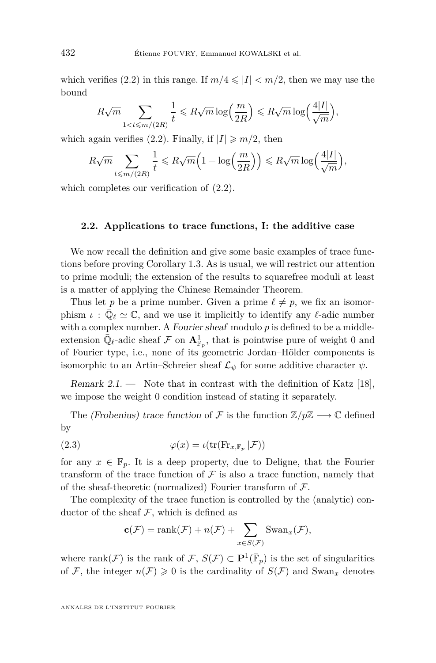which verifies [\(2.2\)](#page-9-1) in this range. If  $m/4 \leq l < m/2$ , then we may use the bound

$$
R\sqrt{m} \sum_{1 < t \le m/(2R)} \frac{1}{t} \le R\sqrt{m} \log\left(\frac{m}{2R}\right) \le R\sqrt{m} \log\left(\frac{4|I|}{\sqrt{m}}\right),
$$

which again verifies [\(2.2\)](#page-9-1). Finally, if  $|I| \ge m/2$ , then

$$
R\sqrt{m} \sum_{t \le m/(2R)} \frac{1}{t} \le R\sqrt{m} \Big( 1 + \log\Big(\frac{m}{2R}\Big) \Big) \le R\sqrt{m} \log\Big(\frac{4|I|}{\sqrt{m}}\Big),
$$

which completes our verification of  $(2.2)$ .

#### <span id="page-10-0"></span>**2.2. Applications to trace functions, I: the additive case**

We now recall the definition and give some basic examples of trace functions before proving Corollary [1.3.](#page-5-1) As is usual, we will restrict our attention to prime moduli; the extension of the results to squarefree moduli at least is a matter of applying the Chinese Remainder Theorem.

Thus let *p* be a prime number. Given a prime  $\ell \neq p$ , we fix an isomorphism  $\iota$ :  $\overline{\mathbb{Q}}_{\ell} \simeq \mathbb{C}$ , and we use it implicitly to identify any  $\ell$ -adic number with a complex number. A Fourier sheaf modulo p is defined to be a middleextension  $\bar{\mathbb{Q}}_{\ell}$ -adic sheaf  $\mathcal F$  on  $\mathbf{A}^1_{\mathbb{F}_p}$ , that is pointwise pure of weight 0 and of Fourier type, i.e., none of its geometric Jordan–Hölder components is isomorphic to an Artin–Schreier sheaf  $\mathcal{L}_{\psi}$  for some additive character  $\psi$ .

Remark 2.1. — Note that in contrast with the definition of Katz  $[18]$ , we impose the weight 0 condition instead of stating it separately.

The (Frobenius) trace function of F is the function  $\mathbb{Z}/p\mathbb{Z} \longrightarrow \mathbb{C}$  defined by

(2.3) 
$$
\varphi(x) = \iota(\text{tr}(\text{Fr}_{x,\mathbb{F}_p}|\mathcal{F}))
$$

for any  $x \in \mathbb{F}_p$ . It is a deep property, due to Deligne, that the Fourier transform of the trace function of  $\mathcal F$  is also a trace function, namely that of the sheaf-theoretic (normalized) Fourier transform of  $\mathcal{F}$ .

The complexity of the trace function is controlled by the (analytic) conductor of the sheaf  $F$ , which is defined as

$$
\mathbf{c}(\mathcal{F}) = \text{rank}(\mathcal{F}) + n(\mathcal{F}) + \sum_{x \in S(\mathcal{F})} \text{Swan}_x(\mathcal{F}),
$$

where rank $(\mathcal{F})$  is the rank of  $\mathcal{F}, S(\mathcal{F}) \subset \mathbf{P}^1(\overline{\mathbb{F}}_p)$  is the set of singularities of F, the integer  $n(\mathcal{F}) \geq 0$  is the cardinality of  $S(\mathcal{F})$  and Swan<sub>x</sub> denotes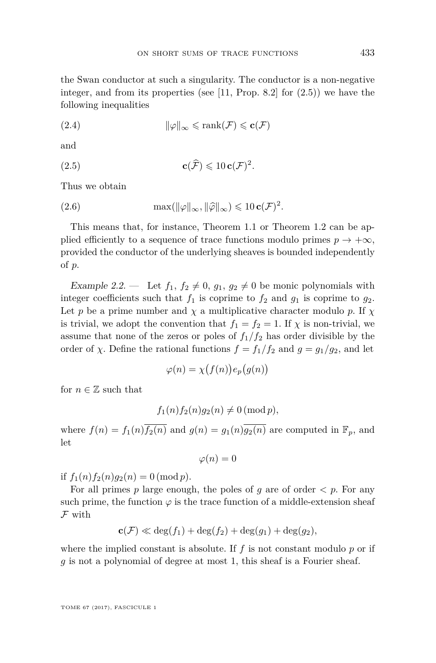the Swan conductor at such a singularity. The conductor is a non-negative integer, and from its properties (see  $[11,$  Prop. 8.2] for  $(2.5)$ ) we have the following inequalities

(2.4) 
$$
\|\varphi\|_{\infty} \leqslant \text{rank}(\mathcal{F}) \leqslant \mathbf{c}(\mathcal{F})
$$

and

<span id="page-11-0"></span>(2.5) 
$$
\mathbf{c}(\widehat{\mathcal{F}}) \leqslant 10 \mathbf{c}(\mathcal{F})^2.
$$

Thus we obtain

(2.6) 
$$
\max(\|\varphi\|_{\infty}, \|\widehat{\varphi}\|_{\infty}) \leq 10 \mathbf{c}(\mathcal{F})^2.
$$

This means that, for instance, Theorem [1.1](#page-3-2) or Theorem [1.2](#page-4-0) can be applied efficiently to a sequence of trace functions modulo primes  $p \to +\infty$ , provided the conductor of the underlying sheaves is bounded independently of *p*.

Example 2.2. — Let  $f_1, f_2 \neq 0, g_1, g_2 \neq 0$  be monic polynomials with integer coefficients such that  $f_1$  is coprime to  $f_2$  and  $g_1$  is coprime to  $g_2$ . Let *p* be a prime number and  $\chi$  a multiplicative character modulo *p*. If  $\chi$ is trivial, we adopt the convention that  $f_1 = f_2 = 1$ . If  $\chi$  is non-trivial, we assume that none of the zeros or poles of  $f_1/f_2$  has order divisible by the order of *χ*. Define the rational functions  $f = f_1/f_2$  and  $g = g_1/g_2$ , and let

$$
\varphi(n) = \chi\big(f(n)\big) e_p\big(g(n)\big)
$$

for  $n \in \mathbb{Z}$  such that

$$
f_1(n)f_2(n)g_2(n) \neq 0 \,(\text{mod } p),
$$

where  $f(n) = f_1(n) \overline{f_2(n)}$  and  $g(n) = g_1(n) \overline{g_2(n)}$  are computed in  $\mathbb{F}_p$ , and let

 $\varphi(n) = 0$ 

if  $f_1(n) f_2(n) g_2(n) = 0 \pmod{p}$ .

For all primes  $p$  large enough, the poles of  $q$  are of order  $\lt p$ . For any such prime, the function  $\varphi$  is the trace function of a middle-extension sheaf F with

$$
\mathbf{c}(\mathcal{F}) \ll \deg(f_1) + \deg(f_2) + \deg(g_1) + \deg(g_2),
$$

where the implied constant is absolute. If  $f$  is not constant modulo  $p$  or if *g* is not a polynomial of degree at most 1, this sheaf is a Fourier sheaf.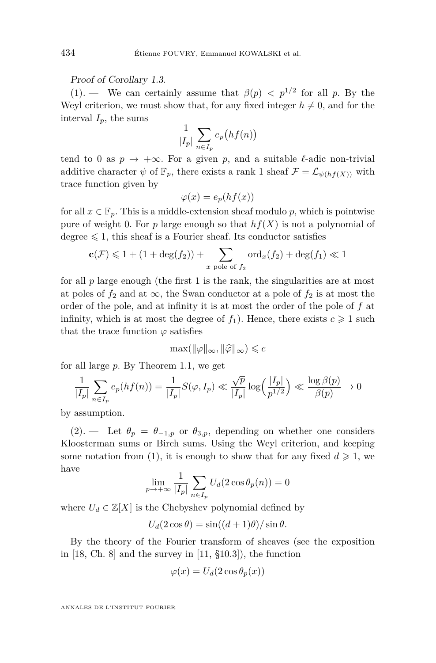Proof of Corollary [1.3.](#page-5-1)

 $(1).$  $(1).$  We can certainly assume that  $\beta(p) < p^{1/2}$  for all p. By the Weyl criterion, we must show that, for any fixed integer  $h \neq 0$ , and for the interval  $I_p$ , the sums

$$
\frac{1}{|I_p|} \sum_{n \in I_p} e_p\big(hf(n)\big)
$$

tend to 0 as  $p \to +\infty$ . For a given p, and a suitable  $\ell$ -adic non-trivial additive character  $\psi$  of  $\mathbb{F}_p$ , there exists a rank 1 sheaf  $\mathcal{F} = \mathcal{L}_{\psi(hf(X))}$  with trace function given by

$$
\varphi(x) = e_p(hf(x))
$$

for all  $x \in \mathbb{F}_p$ . This is a middle-extension sheaf modulo p, which is pointwise pure of weight 0. For  $p$  large enough so that  $hf(X)$  is not a polynomial of degree  $\leq 1$ , this sheaf is a Fourier sheaf. Its conductor satisfies

$$
\mathbf{c}(\mathcal{F}) \leq 1 + (1 + \deg(f_2)) + \sum_{x \text{ pole of } f_2} \text{ord}_x(f_2) + \deg(f_1) \ll 1
$$

for all  $p$  large enough (the first  $1$  is the rank, the singularities are at most at poles of  $f_2$  and at  $\infty$ , the Swan conductor at a pole of  $f_2$  is at most the order of the pole, and at infinity it is at most the order of the pole of *f* at infinity, which is at most the degree of  $f_1$ ). Hence, there exists  $c \geq 1$  such that the trace function  $\varphi$  satisfies

$$
\max(\|\varphi\|_{\infty}, \|\widehat{\varphi}\|_{\infty}) \leqslant c
$$

for all large *p*. By Theorem [1.1,](#page-3-2) we get

$$
\frac{1}{|I_p|} \sum_{n \in I_p} e_p(hf(n)) = \frac{1}{|I_p|} S(\varphi, I_p) \ll \frac{\sqrt{p}}{|I_p|} \log \left(\frac{|I_p|}{p^{1/2}}\right) \ll \frac{\log \beta(p)}{\beta(p)} \to 0
$$

by assumption.

[\(2\)](#page-6-1). — Let  $\theta_p = \theta_{-1,p}$  or  $\theta_{3,p}$ , depending on whether one considers Kloosterman sums or Birch sums. Using the Weyl criterion, and keeping some notation from [\(1\)](#page-5-2), it is enough to show that for any fixed  $d \geq 1$ , we have

$$
\lim_{p \to +\infty} \frac{1}{|I_p|} \sum_{n \in I_p} U_d(2 \cos \theta_p(n)) = 0
$$

where  $U_d \in \mathbb{Z}[X]$  is the Chebyshev polynomial defined by

$$
U_d(2\cos\theta) = \sin((d+1)\theta)/\sin\theta.
$$

By the theory of the Fourier transform of sheaves (see the exposition in  $[18, Ch. 8]$  $[18, Ch. 8]$  and the survey in  $[11, §10.3]$  $[11, §10.3]$ , the function

$$
\varphi(x) = U_d(2\cos\theta_p(x))
$$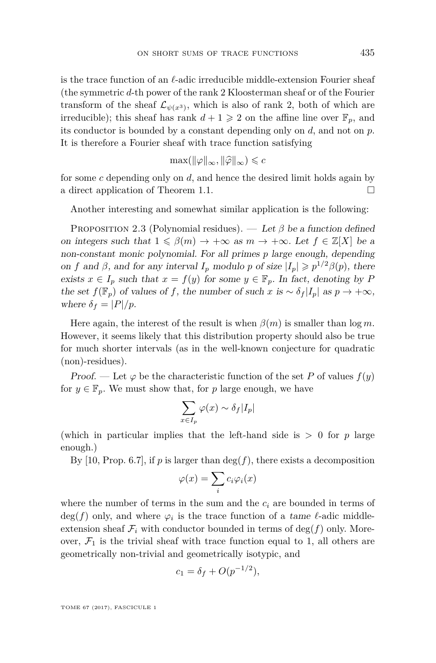is the trace function of an  $\ell$ -adic irreducible middle-extension Fourier sheaf (the symmetric *d*-th power of the rank 2 Kloosterman sheaf or of the Fourier transform of the sheaf  $\mathcal{L}_{\psi(x^3)}$ , which is also of rank 2, both of which are irreducible); this sheaf has rank  $d+1 \geq 2$  on the affine line over  $\mathbb{F}_p$ , and its conductor is bounded by a constant depending only on *d*, and not on *p*. It is therefore a Fourier sheaf with trace function satisfying

$$
\max(\|\varphi\|_{\infty}, \|\widehat{\varphi}\|_{\infty}) \leqslant c
$$

for some *c* depending only on *d*, and hence the desired limit holds again by a direct application of Theorem [1.1.](#page-3-2)

Another interesting and somewhat similar application is the following:

<span id="page-13-0"></span>Proposition 2.3 (Polynomial residues). — Let *β* be a function defined on integers such that  $1 \leq \beta(m) \to +\infty$  as  $m \to +\infty$ . Let  $f \in \mathbb{Z}[X]$  be a non-constant monic polynomial. For all primes *p* large enough, depending on *f* and *β*, and for any interval *I<sub>p</sub>* modulo *p* of size  $|I_p| \geq p^{1/2}\beta(p)$ , there exists  $x \in I_p$  such that  $x = f(y)$  for some  $y \in \mathbb{F}_p$ . In fact, denoting by P the set  $f(\mathbb{F}_p)$  of values of f, the number of such x is  $\sim \delta_f |I_p|$  as  $p \to +\infty$ , where  $\delta_f = |P|/p$ .

Here again, the interest of the result is when  $\beta(m)$  is smaller than  $\log m$ . However, it seems likely that this distribution property should also be true for much shorter intervals (as in the well-known conjecture for quadratic (non)-residues).

Proof. — Let  $\varphi$  be the characteristic function of the set P of values  $f(y)$ for  $y \in \mathbb{F}_p$ . We must show that, for p large enough, we have

$$
\sum_{x \in I_p} \varphi(x) \sim \delta_f |I_p|
$$

(which in particular implies that the left-hand side is  $> 0$  for  $p$  large enough.)

By [\[10,](#page-26-4) Prop. 6.7], if  $p$  is larger than  $\deg(f)$ , there exists a decomposition

$$
\varphi(x) = \sum_i c_i \varphi_i(x)
$$

where the number of terms in the sum and the  $c_i$  are bounded in terms of  $deg(f)$  only, and where  $\varphi_i$  is the trace function of a tame  $\ell$ -adic middleextension sheaf  $\mathcal{F}_i$  with conductor bounded in terms of  $\deg(f)$  only. Moreover,  $\mathcal{F}_1$  is the trivial sheaf with trace function equal to 1, all others are geometrically non-trivial and geometrically isotypic, and

$$
c_1 = \delta_f + O(p^{-1/2}),
$$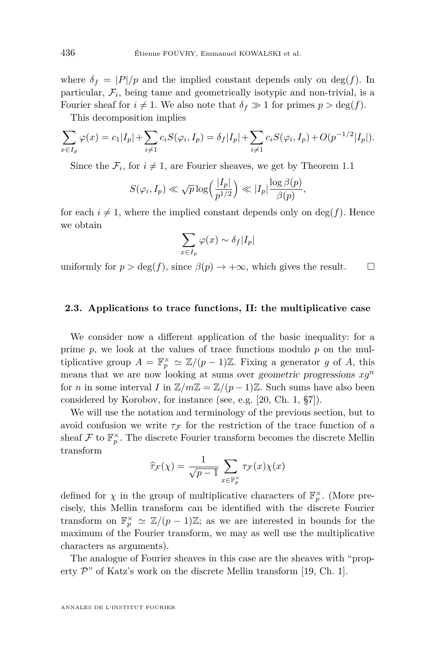where  $\delta_f = |P|/p$  and the implied constant depends only on deg(f). In  $particular, \mathcal{F}_i$ , being tame and geometrically isotypic and non-trivial, is a Fourier sheaf for  $i \neq 1$ . We also note that  $\delta_f \gg 1$  for primes  $p > \deg(f)$ .

This decomposition implies

$$
\sum_{x \in I_p} \varphi(x) = c_1 |I_p| + \sum_{i \neq 1} c_i S(\varphi_i, I_p) = \delta_f |I_p| + \sum_{i \neq 1} c_i S(\varphi_i, I_p) + O(p^{-1/2} |I_p|).
$$

Since the  $\mathcal{F}_i$ , for  $i \neq 1$ , are Fourier sheaves, we get by Theorem [1.1](#page-3-2)

$$
S(\varphi_i, I_p) \ll \sqrt{p} \log \left( \frac{|I_p|}{p^{1/2}} \right) \ll |I_p| \frac{\log \beta(p)}{\beta(p)},
$$

for each  $i \neq 1$ , where the implied constant depends only on deg(*f*). Hence we obtain

$$
\sum_{x\in I_p}\varphi(x)\sim \delta_f|I_p|
$$

uniformly for  $p > \deg(f)$ , since  $\beta(p) \to +\infty$ , which gives the result.

#### <span id="page-14-0"></span>**2.3. Applications to trace functions, II: the multiplicative case**

We consider now a different application of the basic inequality: for a prime  $p$ , we look at the values of trace functions modulo  $p$  on the multiplicative group  $A = \mathbb{F}_p^{\times} \simeq \mathbb{Z}/(p-1)\mathbb{Z}$ . Fixing a generator *g* of *A*, this means that we are now looking at sums over geometric progressions *xg<sup>n</sup>* for *n* in some interval *I* in  $\mathbb{Z}/m\mathbb{Z} = \mathbb{Z}/(p-1)\mathbb{Z}$ . Such sums have also been considered by Korobov, for instance (see, e.g. [\[20,](#page-26-10) Ch. 1, §7]).

We will use the notation and terminology of the previous section, but to avoid confusion we write  $\tau_F$  for the restriction of the trace function of a sheaf  $\mathcal F$  to  $\mathbb F_p^{\times}$ . The discrete Fourier transform becomes the discrete Mellin transform

$$
\widehat{\tau}_{\mathcal{F}}(\chi) = \frac{1}{\sqrt{p-1}} \sum_{x \in \mathbb{F}_p^{\times}} \tau_{\mathcal{F}}(x) \chi(x)
$$

defined for  $\chi$  in the group of multiplicative characters of  $\mathbb{F}_p^{\times}$ . (More precisely, this Mellin transform can be identified with the discrete Fourier transform on  $\mathbb{F}_p^{\times} \simeq \mathbb{Z}/(p-1)\mathbb{Z}$ ; as we are interested in bounds for the maximum of the Fourier transform, we may as well use the multiplicative characters as arguments).

The analogue of Fourier sheaves in this case are the sheaves with "property  $\mathcal{P}$ " of Katz's work on the discrete Mellin transform [\[19,](#page-26-11) Ch. 1].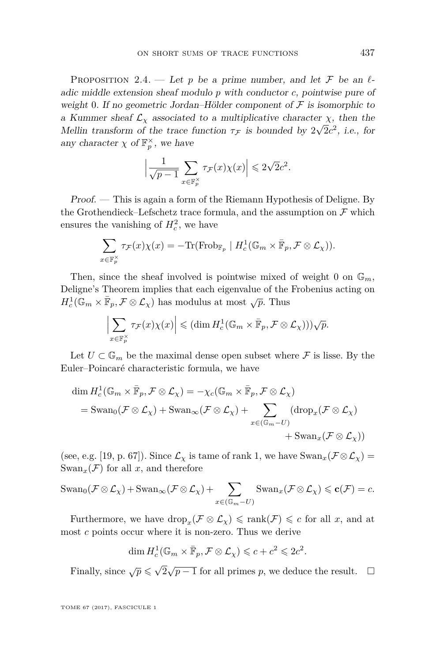<span id="page-15-0"></span>PROPOSITION 2.4. — Let p be a prime number, and let F be an  $\ell$ adic middle extension sheaf modulo *p* with conductor *c*, pointwise pure of weight 0. If no geometric Jordan–Hölder component of  $\mathcal F$  is isomorphic to a Kummer sheaf  $\mathcal{L}_{\chi}$  associated to a multiplicative character  $\chi$ , then the Mellin transform of the trace function  $\tau_F$  is bounded by  $2\sqrt{2}c^2$ , i.e., for any character  $\chi$  of  $\mathbb{F}_p^{\times}$ , we have

$$
\left|\frac{1}{\sqrt{p-1}}\sum_{x\in\mathbb{F}_p^{\times}}\tau_{\mathcal{F}}(x)\chi(x)\right|\leqslant 2\sqrt{2}c^2.
$$

Proof. — This is again a form of the Riemann Hypothesis of Deligne. By the Grothendieck–Lefschetz trace formula, and the assumption on  $\mathcal F$  which ensures the vanishing of  $H_c^2$ , we have

$$
\sum_{x \in \mathbb{F}_p^{\times}} \tau_{\mathcal{F}}(x) \chi(x) = -\text{Tr}(\text{Frob}_{\mathbb{F}_p} \mid H_c^1(\mathbb{G}_m \times \overline{\mathbb{F}}_p, \mathcal{F} \otimes \mathcal{L}_{\chi})).
$$

Then, since the sheaf involved is pointwise mixed of weight 0 on  $\mathbb{G}_m$ , Deligne's Theorem implies that each eigenvalue of the Frobenius acting on  $H_c^1(\mathbb{G}_m \times \mathbb{F}_p, \mathcal{F} \otimes \mathcal{L}_\chi)$  has modulus at most  $\sqrt{p}$ . Thus

$$
\left|\sum_{x\in\mathbb{F}_p^{\times}}\tau_{\mathcal{F}}(x)\chi(x)\right|\leqslant (\dim H^1_c(\mathbb{G}_m\times\bar{\mathbb{F}}_p,\mathcal{F}\otimes{\mathcal L}_{\chi})))\sqrt{p}.
$$

Let  $U \subset \mathbb{G}_m$  be the maximal dense open subset where  $\mathcal F$  is lisse. By the Euler–Poincaré characteristic formula, we have

$$
\dim H_c^1(\mathbb{G}_m \times \bar{\mathbb{F}}_p, \mathcal{F} \otimes \mathcal{L}_{\chi}) = -\chi_c(\mathbb{G}_m \times \bar{\mathbb{F}}_p, \mathcal{F} \otimes \mathcal{L}_{\chi})
$$
\n
$$
= \text{Swan}_0(\mathcal{F} \otimes \mathcal{L}_{\chi}) + \text{Swan}_{\infty}(\mathcal{F} \otimes \mathcal{L}_{\chi}) + \sum_{x \in (\mathbb{G}_m - U)} (\text{drop}_x(\mathcal{F} \otimes \mathcal{L}_{\chi})) + \text{Swan}_x(\mathcal{F} \otimes \mathcal{L}_{\chi}))
$$

(see, e.g. [\[19,](#page-26-11) p. 67]). Since  $\mathcal{L}_{\chi}$  is tame of rank 1, we have  $\text{Swan}_{x}(\mathcal{F}\otimes\mathcal{L}_{\chi})=$  $\text{Swan}_x(\mathcal{F})$  for all x, and therefore

$$
\mathrm{Swan}_0(\mathcal{F}\otimes \mathcal{L}_{\chi}) + \mathrm{Swan}_{\infty}(\mathcal{F}\otimes \mathcal{L}_{\chi}) + \sum_{x\in (\mathbb{G}_m - U)} \mathrm{Swan}_x(\mathcal{F}\otimes \mathcal{L}_{\chi}) \leqslant \mathbf{c}(\mathcal{F}) = c.
$$

Furthermore, we have  $\text{drop}_x(\mathcal{F} \otimes \mathcal{L}_\chi) \leq \text{rank}(\mathcal{F}) \leq c$  for all *x*, and at most *c* points occur where it is non-zero. Thus we derive

$$
\dim H_c^1(\mathbb{G}_m \times \bar{\mathbb{F}}_p, \mathcal{F} \otimes \mathcal{L}_\chi) \leqslant c + c^2 \leqslant 2c^2.
$$

Finally, since  $\sqrt{p} \leqslant \sqrt{p}$  $\sqrt{2}$  $\sqrt{p-1}$  for all primes *p*, we deduce the result.  $□$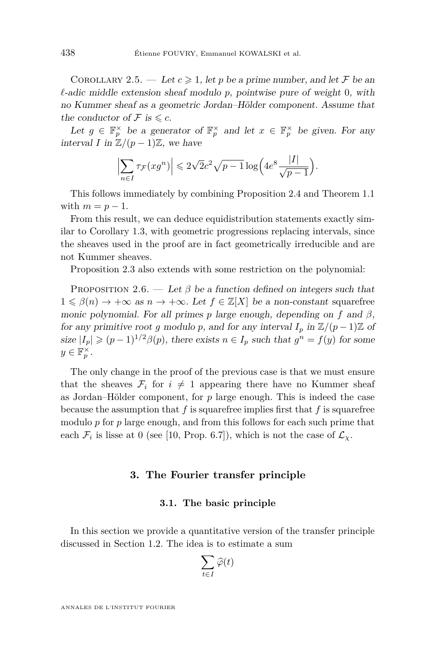COROLLARY 2.5. — Let  $c \geq 1$ , let p be a prime number, and let F be an  $\ell$ -adic middle extension sheaf modulo  $p$ , pointwise pure of weight 0, with no Kummer sheaf as a geometric Jordan–Hölder component. Assume that the conductor of  $\mathcal F$  is  $\leqslant c$ .

Let  $g \in \mathbb{F}_p^{\times}$  be a generator of  $\mathbb{F}_p^{\times}$  and let  $x \in \mathbb{F}_p^{\times}$  be given. For any interval *I* in  $\mathbb{Z}/(p-1)\mathbb{Z}$ , we have

$$
\Bigl|\sum_{n\in I}\tau_{\mathcal{F}}(xg^n)\Bigr|\leqslant 2\sqrt 2 c^2\sqrt{p-1}\log\Bigl(4e^8\frac{|I|}{\sqrt{p-1}}\Bigr).
$$

This follows immediately by combining Proposition [2.4](#page-15-0) and Theorem [1.1](#page-3-2) with  $m = p - 1$ .

From this result, we can deduce equidistribution statements exactly similar to Corollary [1.3,](#page-5-1) with geometric progressions replacing intervals, since the sheaves used in the proof are in fact geometrically irreducible and are not Kummer sheaves.

Proposition [2.3](#page-13-0) also extends with some restriction on the polynomial:

PROPOSITION 2.6. — Let  $\beta$  be a function defined on integers such that  $1 \leq \beta(n) \to +\infty$  as  $n \to +\infty$ . Let  $f \in \mathbb{Z}[X]$  be a non-constant squarefree monic polynomial. For all primes *p* large enough, depending on *f* and *β*, for any primitive root *g* modulo *p*, and for any interval  $I_p$  in  $\mathbb{Z}/(p-1)\mathbb{Z}$  of size  $|I_p| \geq (p-1)^{1/2}\beta(p)$ , there exists  $n \in I_p$  such that  $g^n = f(y)$  for some  $y \in \mathbb{F}_p^{\times}$ .

The only change in the proof of the previous case is that we must ensure that the sheaves  $\mathcal{F}_i$  for  $i \neq 1$  appearing there have no Kummer sheaf as Jordan–Hölder component, for *p* large enough. This is indeed the case because the assumption that *f* is squarefree implies first that *f* is squarefree modulo *p* for *p* large enough, and from this follows for each such prime that each  $\mathcal{F}_i$  is lisse at 0 (see [\[10,](#page-26-4) Prop. 6.7]), which is not the case of  $\mathcal{L}_{\chi}$ .

#### **3. The Fourier transfer principle**

#### **3.1. The basic principle**

In this section we provide a quantitative version of the transfer principle discussed in Section [1.2.](#page-3-3) The idea is to estimate a sum

$$
\sum_{t\in I}\widehat{\varphi}(t)
$$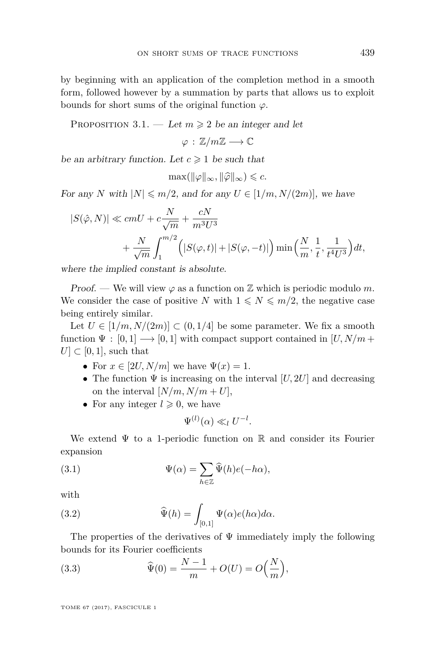by beginning with an application of the completion method in a smooth form, followed however by a summation by parts that allows us to exploit bounds for short sums of the original function *ϕ*.

<span id="page-17-3"></span>PROPOSITION 3.1. — Let  $m \geq 2$  be an integer and let

 $\varphi : \mathbb{Z}/m\mathbb{Z} \longrightarrow \mathbb{C}$ 

be an arbitrary function. Let  $c \geq 1$  be such that

$$
\max(\|\varphi\|_{\infty}, \|\widehat{\varphi}\|_{\infty}) \leqslant c.
$$

For any *N* with  $|N| \leq m/2$ , and for any  $U \in [1/m, N/(2m)]$ , we have

$$
\begin{split} |S(\hat{\varphi},N)|&\ll cmU + c\frac{N}{\sqrt{m}} + \frac{cN}{m^3U^3}\\ &+\frac{N}{\sqrt{m}}\int_1^{m/2}\Big(|S(\varphi,t)|+|S(\varphi,-t)|\Big)\min\Big(\frac{N}{m},\frac{1}{t},\frac{1}{t^4U^3}\Big)dt, \end{split}
$$

where the implied constant is absolute.

Proof. — We will view  $\varphi$  as a function on  $\mathbb Z$  which is periodic modulo m. We consider the case of positive *N* with  $1 \leq N \leq m/2$ , the negative case being entirely similar.

Let  $U \in [1/m, N/(2m)] \subset (0, 1/4]$  be some parameter. We fix a smooth function  $\Psi : [0,1] \longrightarrow [0,1]$  with compact support contained in  $[U, N/m +$  $U \subset [0,1]$ , such that

- For  $x \in [2U, N/m]$  we have  $\Psi(x) = 1$ .
- The function  $\Psi$  is increasing on the interval  $[U, 2U]$  and decreasing on the interval  $[N/m, N/m + U]$ ,
- For any integer  $l \geqslant 0$ , we have

<span id="page-17-1"></span><span id="page-17-0"></span>
$$
\Psi^{(l)}(\alpha) \ll_l U^{-l}.
$$

We extend  $\Psi$  to a 1-periodic function on  $\mathbb R$  and consider its Fourier expansion

(3.1) 
$$
\Psi(\alpha) = \sum_{h \in \mathbb{Z}} \widehat{\Psi}(h)e(-h\alpha),
$$

with

(3.2) 
$$
\widehat{\Psi}(h) = \int_{[0,1]} \Psi(\alpha)e(h\alpha)d\alpha.
$$

The properties of the derivatives of  $\Psi$  immediately imply the following bounds for its Fourier coefficients

<span id="page-17-2"></span>(3.3) 
$$
\widehat{\Psi}(0) = \frac{N-1}{m} + O(U) = O\left(\frac{N}{m}\right),
$$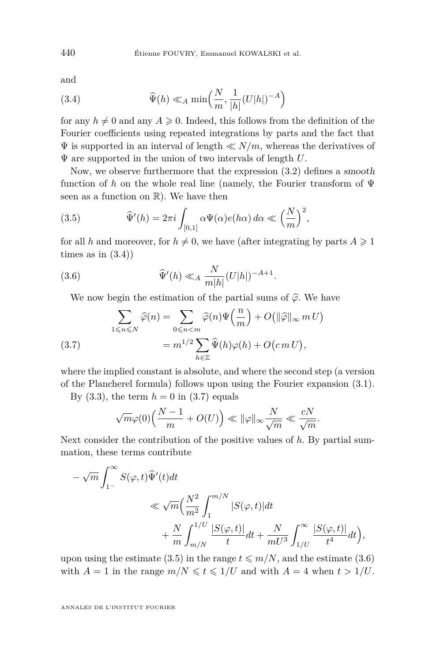and

<span id="page-18-0"></span>(3.4) 
$$
\widehat{\Psi}(h) \ll_A \min\left(\frac{N}{m}, \frac{1}{|h|}(U|h|)^{-A}\right)
$$

for any  $h \neq 0$  and any  $A \geq 0$ . Indeed, this follows from the definition of the Fourier coefficients using repeated integrations by parts and the fact that  $\Psi$  is supported in an interval of length  $\ll N/m$ , whereas the derivatives of Ψ are supported in the union of two intervals of length *U*.

Now, we observe furthermore that the expression [\(3.2\)](#page-17-0) defines a smooth function of *h* on the whole real line (namely, the Fourier transform of Ψ seen as a function on R). We have then

<span id="page-18-2"></span>(3.5) 
$$
\widehat{\Psi}'(h) = 2\pi i \int_{[0,1]} \alpha \Psi(\alpha) e(h\alpha) d\alpha \ll \left(\frac{N}{m}\right)^2,
$$

for all *h* and moreover, for  $h \neq 0$ , we have (after integrating by parts  $A \geq 1$ times as in  $(3.4)$ 

<span id="page-18-3"></span>(3.6) 
$$
\widehat{\Psi}'(h) \ll_A \frac{N}{m|h|} (U|h|)^{-A+1}.
$$

We now begin the estimation of the partial sums of  $\hat{\varphi}$ . We have

<span id="page-18-1"></span>(3.7) 
$$
\sum_{1 \leq n \leq N} \widehat{\varphi}(n) = \sum_{0 \leq n < m} \widehat{\varphi}(n) \Psi\left(\frac{n}{m}\right) + O\left(\|\widehat{\varphi}\|_{\infty} m U\right) = m^{1/2} \sum_{h \in \mathbb{Z}} \widehat{\Psi}(h) \varphi(h) + O\left(c m U\right),
$$

where the implied constant is absolute, and where the second step (a version of the Plancherel formula) follows upon using the Fourier expansion [\(3.1\)](#page-17-1).

By  $(3.3)$ , the term  $h = 0$  in  $(3.7)$  equals

$$
\sqrt{m}\varphi(0)\left(\frac{N-1}{m}+O(U)\right)\ll \|\varphi\|_{\infty}\frac{N}{\sqrt{m}}\ll \frac{cN}{\sqrt{m}}.
$$

Next consider the contribution of the positive values of *h*. By partial summation, these terms contribute

$$
\begin{aligned} &-\sqrt{m}\int_{1^{-}}^{\infty}S(\varphi,t)\widehat{\Psi}'(t)dt\\ &\ll \sqrt{m}\Big(\frac{N^2}{m^2}\int_{1}^{m/N}|S(\varphi,t)|dt\\ &+\frac{N}{m}\int_{m/N}^{1/U}\frac{|S(\varphi,t)|}{t}dt+\frac{N}{mU^3}\int_{1/U}^{\infty}\frac{|S(\varphi,t)|}{t^4}dt\Big), \end{aligned}
$$

upon using the estimate [\(3.5\)](#page-18-2) in the range  $t \le m/N$ , and the estimate [\(3.6\)](#page-18-3) with  $A = 1$  in the range  $m/N \leq t \leq 1/U$  and with  $A = 4$  when  $t > 1/U$ .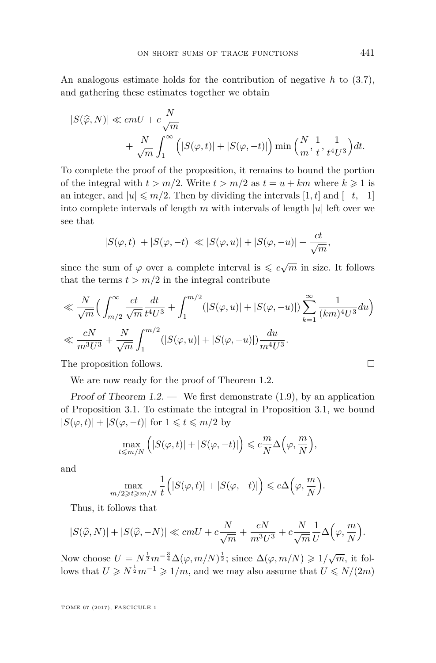An analogous estimate holds for the contribution of negative *h* to [\(3.7\)](#page-18-1), and gathering these estimates together we obtain

$$
|S(\widehat{\varphi}, N)| \ll cmU + c\frac{N}{\sqrt{m}} + \frac{N}{\sqrt{m}}\int_1^\infty \left( |S(\varphi, t)| + |S(\varphi, -t)| \right) \min\left(\frac{N}{m}, \frac{1}{t}, \frac{1}{t^4U^3}\right) dt.
$$

To complete the proof of the proposition, it remains to bound the portion of the integral with  $t > m/2$ . Write  $t > m/2$  as  $t = u + km$  where  $k \ge 1$  is an integer, and  $|u| \leq m/2$ . Then by dividing the intervals [1, t] and [-t, -1] into complete intervals of length  $m$  with intervals of length  $|u|$  left over we see that

$$
|S(\varphi, t)| + |S(\varphi, -t)| \ll |S(\varphi, u)| + |S(\varphi, -u)| + \frac{ct}{\sqrt{m}},
$$

since the sum of  $\varphi$  over a complete interval is  $\leqslant c\sqrt{m}$  in size. It follows that the terms  $t > m/2$  in the integral contribute

$$
\ll \frac{N}{\sqrt{m}} \Big( \int_{m/2}^{\infty} \frac{ct}{\sqrt{m}} \frac{dt}{t^4 U^3} + \int_{1}^{m/2} (|S(\varphi, u)| + |S(\varphi, -u)|) \sum_{k=1}^{\infty} \frac{1}{(km)^4 U^3} du \Big)
$$
  

$$
\ll \frac{cN}{m^3 U^3} + \frac{N}{\sqrt{m}} \int_{1}^{m/2} (|S(\varphi, u)| + |S(\varphi, -u)|) \frac{du}{m^4 U^3}.
$$

The proposition follows.  $\Box$ 

We are now ready for the proof of Theorem [1.2.](#page-4-0)

Proof of Theorem  $1.2.$  — We first demonstrate  $(1.9)$ , by an application of Proposition [3.1.](#page-17-3) To estimate the integral in Proposition [3.1,](#page-17-3) we bound  $|S(\varphi, t)| + |S(\varphi, -t)|$  for  $1 \le t \le m/2$  by

$$
\max_{t \le m/N} \left( |S(\varphi, t)| + |S(\varphi, -t)| \right) \le c \frac{m}{N} \Delta \left( \varphi, \frac{m}{N} \right),
$$

and

$$
\max_{m/2 \geq t \geq m/N} \frac{1}{t} \Big( |S(\varphi, t)| + |S(\varphi, -t)| \Big) \leqslant c \Delta \Big( \varphi, \frac{m}{N} \Big).
$$

Thus, it follows that

$$
|S(\widehat{\varphi}, N)| + |S(\widehat{\varphi}, -N)| \ll cmU + c\frac{N}{\sqrt{m}} + \frac{cN}{m^3U^3} + c\frac{N}{\sqrt{m}}\frac{1}{U}\Delta\Big(\varphi, \frac{m}{N}\Big).
$$

Now choose  $U = N^{\frac{1}{2}} m^{-\frac{3}{4}} \Delta(\varphi, m/N)^{\frac{1}{2}}$ ; since  $\Delta(\varphi, m/N) \geq 1/\sqrt{m}$ , it follows that  $U \ge N^{\frac{1}{2}}m^{-1} \ge 1/m$ , and we may also assume that  $U \le N/(2m)$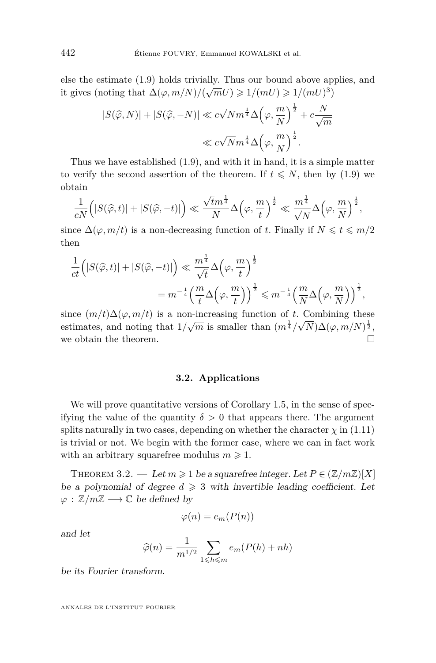else the estimate [\(1.9\)](#page-4-1) holds trivially. Thus our bound above applies, and it gives (noting that  $\Delta(\varphi, m/N)/(\sqrt{m}U) \geq 1/(mU) \geq 1/(mU)^3$ )

$$
|S(\widehat{\varphi}, N)| + |S(\widehat{\varphi}, -N)| \ll c\sqrt{N}m^{\frac{1}{4}}\Delta\left(\varphi, \frac{m}{N}\right)^{\frac{1}{2}} + c\frac{N}{\sqrt{m}}
$$
  

$$
\ll c\sqrt{N}m^{\frac{1}{4}}\Delta\left(\varphi, \frac{m}{N}\right)^{\frac{1}{2}}.
$$

Thus we have established [\(1.9\)](#page-4-1), and with it in hand, it is a simple matter to verify the second assertion of the theorem. If  $t \leq N$ , then by [\(1.9\)](#page-4-1) we obtain

$$
\frac{1}{cN}\Big(|S(\widehat{\varphi},t)|+|S(\widehat{\varphi},-t)|\Big)\ll \frac{\sqrt{t}m^{\frac{1}{4}}}{N}\Delta\Big(\varphi,\frac{m}{t}\Big)^{\frac{1}{2}}\ll \frac{m^{\frac{1}{4}}}{\sqrt{N}}\Delta\Big(\varphi,\frac{m}{N}\Big)^{\frac{1}{2}},
$$

since  $\Delta(\varphi, m/t)$  is a non-decreasing function of *t*. Finally if  $N \leq t \leq m/2$ then

$$
\frac{1}{ct} \Big( |S(\widehat{\varphi}, t)| + |S(\widehat{\varphi}, -t)| \Big) \ll \frac{m^{\frac{1}{4}}}{\sqrt{t}} \Delta \Big( \varphi, \frac{m}{t} \Big)^{\frac{1}{2}} \n= m^{-\frac{1}{4}} \Big( \frac{m}{t} \Delta \Big( \varphi, \frac{m}{t} \Big) \Big)^{\frac{1}{2}} \le m^{-\frac{1}{4}} \Big( \frac{m}{N} \Delta \Big( \varphi, \frac{m}{N} \Big) \Big)^{\frac{1}{2}},
$$

since  $(m/t)\Delta(\varphi, m/t)$  is a non-increasing function of *t*. Combining these estimates, and noting that  $1/\sqrt{m}$  is smaller than  $(m^{\frac{1}{4}}/\sqrt{N})\Delta(\varphi, m/N)^{\frac{1}{2}}$ , we obtain the theorem.  $\Box$ 

#### **3.2. Applications**

<span id="page-20-0"></span>We will prove quantitative versions of Corollary [1.5,](#page-6-0) in the sense of specifying the value of the quantity  $\delta > 0$  that appears there. The argument splits naturally in two cases, depending on whether the character  $\chi$  in  $(1.11)$ is trivial or not. We begin with the former case, where we can in fact work with an arbitrary squarefree modulus  $m \geq 1$ .

<span id="page-20-1"></span>THEOREM 3.2. — Let  $m \geq 1$  be a squarefree integer. Let  $P \in (\mathbb{Z}/m\mathbb{Z})[X]$ be a polynomial of degree  $d \geq 3$  with invertible leading coefficient. Let  $\varphi : \mathbb{Z}/m\mathbb{Z} \longrightarrow \mathbb{C}$  be defined by

$$
\varphi(n) = e_m(P(n))
$$

and let

$$
\widehat{\varphi}(n) = \frac{1}{m^{1/2}} \sum_{1 \leq h \leq m} e_m(P(h) + nh)
$$

be its Fourier transform.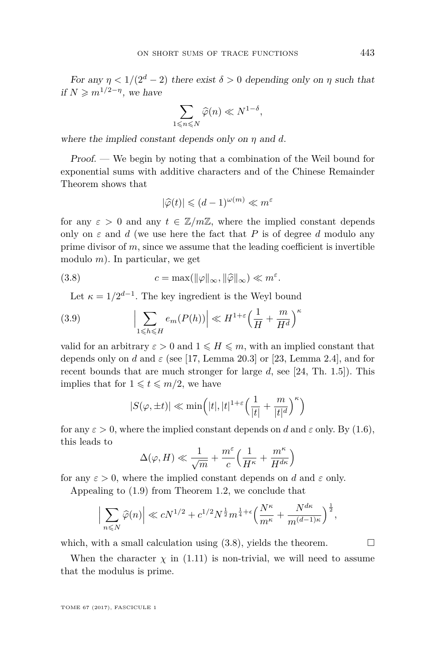For any  $\eta < 1/(2^d - 2)$  there exist  $\delta > 0$  depending only on  $\eta$  such that if  $N \geqslant m^{1/2 - \eta}$ , we have

$$
\sum_{1 \leq n \leq N} \widehat{\varphi}(n) \ll N^{1-\delta},
$$

where the implied constant depends only on *η* and *d*.

Proof. — We begin by noting that a combination of the Weil bound for exponential sums with additive characters and of the Chinese Remainder Theorem shows that

<span id="page-21-0"></span>
$$
|\widehat{\varphi}(t)| \leqslant (d-1)^{\omega(m)} \ll m^{\varepsilon}
$$

for any  $\varepsilon > 0$  and any  $t \in \mathbb{Z}/m\mathbb{Z}$ , where the implied constant depends only on  $\varepsilon$  and *d* (we use here the fact that *P* is of degree *d* modulo any prime divisor of *m*, since we assume that the leading coefficient is invertible modulo *m*). In particular, we get

(3.8) 
$$
c = \max(||\varphi||_{\infty}, ||\widehat{\varphi}||_{\infty}) \ll m^{\varepsilon}.
$$

Let  $\kappa = 1/2^{d-1}$ . The key ingredient is the Weyl bound

(3.9) 
$$
\left|\sum_{1 \leq h \leq H} e_m(P(h))\right| \ll H^{1+\varepsilon} \left(\frac{1}{H} + \frac{m}{H^d}\right)^{\kappa}
$$

valid for an arbitrary  $\varepsilon > 0$  and  $1 \leq H \leq m$ , with an implied constant that depends only on *d* and *ε* (see [\[17,](#page-26-12) Lemma 20.3] or [\[23,](#page-26-13) Lemma 2.4], and for recent bounds that are much stronger for large *d*, see [\[24,](#page-26-14) Th. 1.5]). This implies that for  $1 \leq t \leq m/2$ , we have

$$
|S(\varphi,\pm t)| \ll \min\Bigl(|t|,|t|^{1+\varepsilon}\Bigl(\frac{1}{|t|}+\frac{m}{|t|^d}\Bigr)^{\kappa}\Bigr)
$$

for any  $\varepsilon > 0$ , where the implied constant depends on *d* and  $\varepsilon$  only. By [\(1.6\)](#page-4-2), this leads to

$$
\Delta(\varphi, H) \ll \frac{1}{\sqrt{m}} + \frac{m^{\varepsilon}}{c} \left( \frac{1}{H^{\kappa}} + \frac{m^{\kappa}}{H^{d\kappa}} \right)
$$

for any  $\varepsilon > 0$ , where the implied constant depends on *d* and  $\varepsilon$  only.

Appealing to [\(1.9\)](#page-4-1) from Theorem [1.2,](#page-4-0) we conclude that

$$
\Big|\sum_{n\leqslant N}\widehat{\varphi}(n)\Big|\ll cN^{1/2}+c^{1/2}N^{\frac{1}{2}}m^{\frac{1}{4}+\epsilon}\Big(\frac{N^{\kappa}}{m^{\kappa}}+\frac{N^{d\kappa}}{m^{(d-1)\kappa}}\Big)^{\frac{1}{2}},
$$

which, with a small calculation using  $(3.8)$ , yields the theorem.

When the character  $\chi$  in [\(1.11\)](#page-6-2) is non-trivial, we will need to assume that the modulus is prime.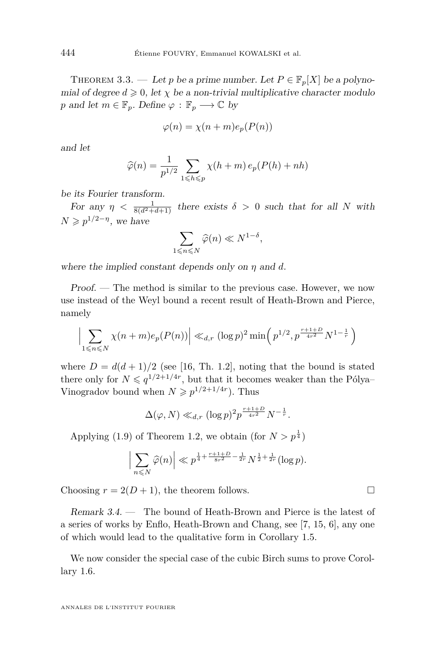<span id="page-22-0"></span>THEOREM 3.3. — Let *p* be a prime number. Let  $P \in \mathbb{F}_p[X]$  be a polynomial of degree  $d \geq 0$ , let  $\chi$  be a non-trivial multiplicative character modulo *p* and let  $m \in \mathbb{F}_p$ . Define  $\varphi : \mathbb{F}_p \longrightarrow \mathbb{C}$  by

$$
\varphi(n) = \chi(n+m)e_p(P(n))
$$

and let

$$
\widehat{\varphi}(n) = \frac{1}{p^{1/2}} \sum_{1 \leq h \leq p} \chi(h+m) e_p(P(h) + nh)
$$

be its Fourier transform.

For any  $\eta < \frac{1}{8(d^2+d+1)}$  there exists  $\delta > 0$  such that for all N with  $N \geqslant p^{1/2 - \eta}$ , we have

$$
\sum_{1 \leqslant n \leqslant N} \widehat{\varphi}(n) \ll N^{1-\delta},
$$

where the implied constant depends only on *η* and *d*.

Proof. — The method is similar to the previous case. However, we now use instead of the Weyl bound a recent result of Heath-Brown and Pierce, namely

$$
\Big|\sum_{1 \le n \le N} \chi(n+m)e_p(P(n))\Big| \ll_{d,r} (\log p)^2 \min\Big(p^{1/2}, p^{\frac{r+1+D}{4r^2}} N^{1-\frac{1}{r}}\Big)
$$

where  $D = d(d+1)/2$  (see [\[16,](#page-26-15) Th. 1.2], noting that the bound is stated there only for  $N \leqslant q^{1/2+1/4r}$ , but that it becomes weaker than the Pólya– Vinogradov bound when  $N \geq p^{1/2+1/4r}$ ). Thus

$$
\Delta(\varphi, N) \ll_{d,r} (\log p)^2 p^{\frac{r+1+D}{4r^2}} N^{-\frac{1}{r}}.
$$

Applying [\(1.9\)](#page-4-1) of Theorem [1.2,](#page-4-0) we obtain (for  $N > p^{\frac{1}{4}}$ )

$$
\Big|\sum_{n\leq N}\widehat{\varphi}(n)\Big|\ll p^{\frac{1}{4}+\frac{r+1+D}{8r^2}-\frac{1}{2r}}N^{\frac{1}{2}+\frac{1}{2r}}(\log p).
$$

Choosing  $r = 2(D+1)$ , the theorem follows.

Remark 3.4. — The bound of Heath-Brown and Pierce is the latest of a series of works by Enflo, Heath-Brown and Chang, see [\[7,](#page-26-16) [15,](#page-26-17) [6\]](#page-25-5), any one of which would lead to the qualitative form in Corollary [1.5.](#page-6-0)

We now consider the special case of the cubic Birch sums to prove Corollary [1.6.](#page-7-0)

$$
\Box
$$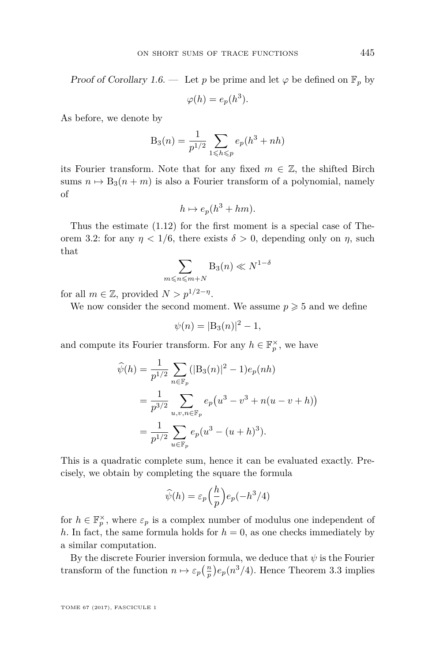Proof of Corollary [1.6.](#page-7-0) — Let p be prime and let  $\varphi$  be defined on  $\mathbb{F}_p$  by

$$
\varphi(h) = e_p(h^3).
$$

As before, we denote by

$$
B_3(n) = \frac{1}{p^{1/2}} \sum_{1 \le h \le p} e_p(h^3 + nh)
$$

its Fourier transform. Note that for any fixed  $m \in \mathbb{Z}$ , the shifted Birch sums  $n \mapsto B_3(n+m)$  is also a Fourier transform of a polynomial, namely of

$$
h \mapsto e_p(h^3 + hm).
$$

Thus the estimate [\(1.12\)](#page-7-1) for the first moment is a special case of The-orem [3.2:](#page-20-1) for any  $\eta$  < 1/6, there exists  $\delta > 0$ , depending only on  $\eta$ , such that

$$
\sum_{m \leqslant n \leqslant m+N} \mathbf{B}_3(n) \ll N^{1-\delta}
$$

for all  $m \in \mathbb{Z}$ , provided  $N > p^{1/2-\eta}$ .

We now consider the second moment. We assume  $p \geq 5$  and we define

$$
\psi(n) = |B_3(n)|^2 - 1,
$$

and compute its Fourier transform. For any  $h \in \mathbb{F}_p^{\times}$ , we have

$$
\widehat{\psi}(h) = \frac{1}{p^{1/2}} \sum_{n \in \mathbb{F}_p} (|\mathbf{B}_3(n)|^2 - 1) e_p(nh)
$$
  
= 
$$
\frac{1}{p^{3/2}} \sum_{u,v,n \in \mathbb{F}_p} e_p(u^3 - v^3 + n(u - v + h))
$$
  
= 
$$
\frac{1}{p^{1/2}} \sum_{u \in \mathbb{F}_p} e_p(u^3 - (u + h)^3).
$$

This is a quadratic complete sum, hence it can be evaluated exactly. Precisely, we obtain by completing the square the formula

$$
\widehat{\psi}(h) = \varepsilon_p \left(\frac{h}{p}\right) e_p(-h^3/4)
$$

for  $h \in \mathbb{F}_p^{\times}$ , where  $\varepsilon_p$  is a complex number of modulus one independent of *h*. In fact, the same formula holds for  $h = 0$ , as one checks immediately by a similar computation.

By the discrete Fourier inversion formula, we deduce that  $\psi$  is the Fourier transform of the function  $n \mapsto \varepsilon_p\left(\frac{n}{p}\right)e_p(n^3/4)$ . Hence Theorem [3.3](#page-22-0) implies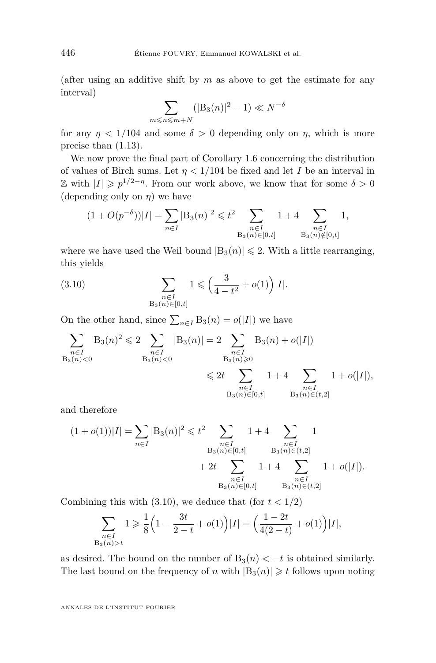(after using an additive shift by *m* as above to get the estimate for any interval)

$$
\sum_{m \le n \le m+N} (|\mathcal{B}_3(n)|^2 - 1) \ll N^{-\delta}
$$

for any  $\eta$  < 1/104 and some  $\delta > 0$  depending only on  $\eta$ , which is more precise than [\(1.13\)](#page-7-2).

We now prove the final part of Corollary [1.6](#page-7-0) concerning the distribution of values of Birch sums. Let  $\eta < 1/104$  be fixed and let *I* be an interval in Z with  $|I| \geq p^{1/2-\eta}$ . From our work above, we know that for some  $\delta > 0$ (depending only on *η*) we have

$$
(1 + O(p^{-\delta}))|I| = \sum_{n \in I} |B_3(n)|^2 \leq t^2 \sum_{\substack{n \in I \\ B_3(n) \in [0,t]}} 1 + 4 \sum_{\substack{n \in I \\ B_3(n) \notin [0,t]}} 1,
$$

where we have used the Weil bound  $|B_3(n)| \leq 2$ . With a little rearranging, this yields

<span id="page-24-0"></span>(3.10) 
$$
\sum_{\substack{n \in I \\ \text{B}_3(n) \in [0,t]}} 1 \leqslant \left(\frac{3}{4 - t^2} + o(1)\right) |I|.
$$

On the other hand, since  $\sum_{n\in I} B_3(n) = o(|I|)$  we have

$$
\sum_{\substack{n \in I \\ B_3(n) < 0}} B_3(n)^2 \leq 2 \sum_{\substack{n \in I \\ B_3(n) < 0}} |B_3(n)| = 2 \sum_{\substack{n \in I \\ B_3(n) \geq 0}} B_3(n) + o(|I|)
$$
\n
$$
\leq 2t \sum_{\substack{n \in I \\ B_3(n) \in [0,t]}} 1 + 4 \sum_{\substack{n \in I \\ B_3(n) \in (t,2]}} 1 + o(|I|),
$$

and therefore

$$
(1+o(1))|I| = \sum_{n \in I} |B_3(n)|^2 \le t^2 \sum_{\substack{n \in I \\ B_3(n) \in [0,t]}} 1 + 4 \sum_{\substack{n \in I \\ B_3(n) \in (t,2]}} 1 + 4 \sum_{\substack{n \in I \\ n \in I \\ B_3(n) \in [0,t]}} 1 + o(|I|).
$$

Combining this with  $(3.10)$ , we deduce that  $f(\text{for } t < 1/2)$ 

$$
\sum_{\substack{n \in I \\ B_3(n) > t}} 1 \geqslant \frac{1}{8} \Big( 1 - \frac{3t}{2 - t} + o(1) \Big) |I| = \Big( \frac{1 - 2t}{4(2 - t)} + o(1) \Big) |I|,
$$

as desired. The bound on the number of  $B_3(n) < -t$  is obtained similarly. The last bound on the frequency of *n* with  $|B_3(n)| \geq t$  follows upon noting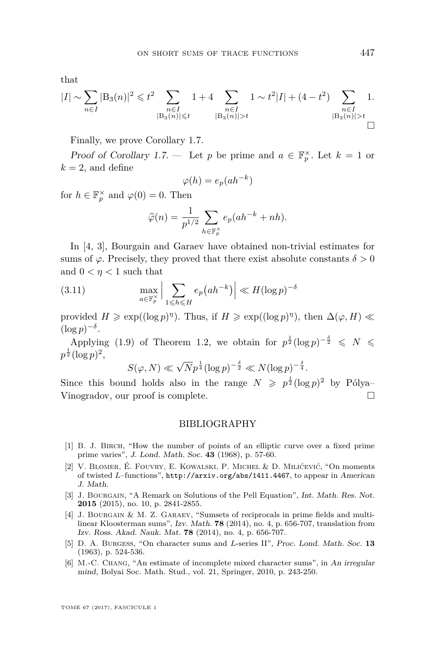that

$$
|I| \sim \sum_{n \in I} |B_3(n)|^2 \leq t^2 \sum_{\substack{n \in I \\ |B_3(n)| \leq t}} 1 + 4 \sum_{\substack{n \in I \\ |B_3(n)| > t}} 1 \sim t^2 |I| + (4 - t^2) \sum_{\substack{n \in I \\ |B_3(n)| > t}} 1.
$$

Finally, we prove Corollary [1.7.](#page-7-3)

Proof of Corollary [1.7.](#page-7-3) — Let *p* be prime and  $a \in \mathbb{F}_p^{\times}$ . Let  $k = 1$  or  $k = 2$ , and define

$$
\varphi(h) = e_p(ah^{-k})
$$

for  $h \in \mathbb{F}_p^{\times}$  and  $\varphi(0) = 0$ . Then

$$
\widehat{\varphi}(n) = \frac{1}{p^{1/2}} \sum_{h \in \mathbb{F}_p^{\times}} e_p(ah^{-k} + nh).
$$

In [\[4,](#page-25-3) [3\]](#page-25-4), Bourgain and Garaev have obtained non-trivial estimates for sums of  $\varphi$ . Precisely, they proved that there exist absolute constants  $\delta > 0$ and  $0 < n < 1$  such that

(3.11) 
$$
\max_{a \in \mathbb{F}_p^{\times}} \Big| \sum_{1 \leq h \leq H} e_p\big(ah^{-k}\big) \Big| \ll H(\log p)^{-\delta}
$$

provided  $H \geq \exp((\log p)^{\eta})$ . Thus, if  $H \geq \exp((\log p)^{\eta})$ , then  $\Delta(\varphi, H) \ll$  $(\log p)^{-\delta}$ .

Applying [\(1.9\)](#page-4-1) of Theorem [1.2,](#page-4-0) we obtain for  $p^{\frac{1}{2}}(\log p)^{-\frac{\delta}{2}} \leq N \leq$  $p^{\frac{1}{2}}(\log p)^2,$ 

$$
S(\varphi, N) \ll \sqrt{N} p^{\frac{1}{4}} (\log p)^{-\frac{\delta}{2}} \ll N(\log p)^{-\frac{\delta}{4}}.
$$

Since this bound holds also in the range  $N \geqslant p^{\frac{1}{2}}(\log p)^2$  by Pólya-Vinogradov, our proof is complete.

#### BIBLIOGRAPHY

- <span id="page-25-2"></span>[1] B. J. Birch, "How the number of points of an elliptic curve over a fixed prime prime varies", J. Lond. Math. Soc. **43** (1968), p. 57-60.
- <span id="page-25-1"></span>[2] V. Blomer, É. Fouvry, E. Kowalski, P. Michel & D. Milićević, "On moments of twisted *L*–functions", <http://arxiv.org/abs/1411.4467>, to appear in American J. Math.
- <span id="page-25-4"></span>[3] J. BOURGAIN, "A Remark on Solutions of the Pell Equation", Int. Math. Res. Not. **2015** (2015), no. 10, p. 2841-2855.
- <span id="page-25-3"></span>[4] J. Bourgain & M. Z. Garaev, "Sumsets of reciprocals in prime fields and multilinear Kloosterman sums", Izv. Math. **78** (2014), no. 4, p. 656-707, translation from Izv. Ross. Akad. Nauk. Mat. **78** (2014), no. 4, p. 656-707.
- <span id="page-25-0"></span>[5] D. A. Burgess, "On character sums and *L*-series II", Proc. Lond. Math. Soc. **13** (1963), p. 524-536.
- <span id="page-25-5"></span>[6] M.-C. Chang, "An estimate of incomplete mixed character sums", in An irregular mind, Bolyai Soc. Math. Stud., vol. 21, Springer, 2010, p. 243-250.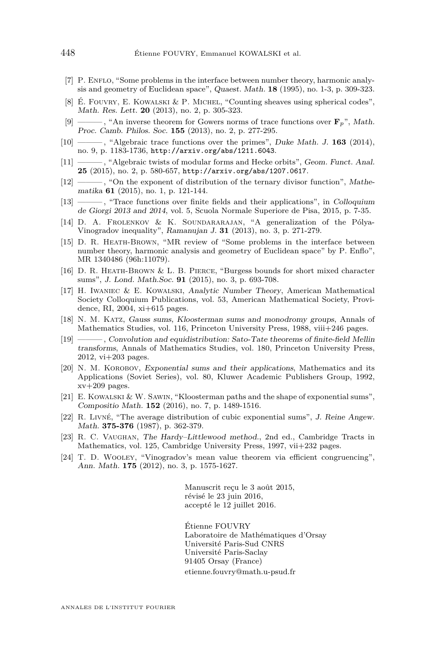- <span id="page-26-16"></span>[7] P. ENFLO, "Some problems in the interface between number theory, harmonic analysis and geometry of Euclidean space", Quaest. Math. **18** (1995), no. 1-3, p. 309-323.
- <span id="page-26-2"></span>[8] É. Fouvry, E. Kowalski & P. Michel, "Counting sheaves using spherical codes", Math. Res. Lett. **20** (2013), no. 2, p. 305-323.
- <span id="page-26-3"></span>[9] ——— , "An inverse theorem for Gowers norms of trace functions over **F***p*", Math. Proc. Camb. Philos. Soc. **155** (2013), no. 2, p. 277-295.
- <span id="page-26-4"></span>[10] ——— , "Algebraic trace functions over the primes", Duke Math. J. **163** (2014), no. 9, p. 1183-1736, <http://arxiv.org/abs/1211.6043>.
- <span id="page-26-5"></span>[11] ——— , "Algebraic twists of modular forms and Hecke orbits", Geom. Funct. Anal. **25** (2015), no. 2, p. 580-657, <http://arxiv.org/abs/1207.0617>.
- <span id="page-26-6"></span>[12] ——— , "On the exponent of distribution of the ternary divisor function", Mathematika **61** (2015), no. 1, p. 121-144.
- <span id="page-26-7"></span>[13] ——— , "Trace functions over finite fields and their applications", in Colloquium de Giorgi 2013 and 2014, vol. 5, Scuola Normale Superiore de Pisa, 2015, p. 7-35.
- <span id="page-26-1"></span>[14] D. A. FROLENKOV & K. SOUNDARARAJAN, "A generalization of the Pólya-Vinogradov inequality", Ramanujan J. **31** (2013), no. 3, p. 271-279.
- <span id="page-26-17"></span>[15] D. R. Heath-Brown, "MR review of "Some problems in the interface between number theory, harmonic analysis and geometry of Euclidean space" by P. Enflo", MR 1340486 (96h:11079).
- <span id="page-26-15"></span>[16] D. R. Heath-Brown & L. B. Pierce, "Burgess bounds for short mixed character sums", J. Lond. Math.Soc. **91** (2015), no. 3, p. 693-708.
- <span id="page-26-12"></span>[17] H. Iwaniec & E. Kowalski, Analytic Number Theory, American Mathematical Society Colloquium Publications, vol. 53, American Mathematical Society, Providence, RI, 2004, xi+615 pages.
- <span id="page-26-9"></span>[18] N. M. Katz, Gauss sums, Kloosterman sums and monodromy groups, Annals of Mathematics Studies, vol. 116, Princeton University Press, 1988, viii+246 pages.
- <span id="page-26-11"></span>[19] ——— , Convolution and equidistribution: Sato-Tate theorems of finite-field Mellin transforms, Annals of Mathematics Studies, vol. 180, Princeton University Press, 2012, vi+203 pages.
- <span id="page-26-10"></span>[20] N. M. KOROBOV, Exponential sums and their applications, Mathematics and its Applications (Soviet Series), vol. 80, Kluwer Academic Publishers Group, 1992,  $xv+209$  pages.
- <span id="page-26-0"></span>[21] E. Kowalski & W. Sawin, "Kloosterman paths and the shape of exponential sums", Compositio Math. **152** (2016), no. 7, p. 1489-1516.
- <span id="page-26-8"></span>[22] R. Livné, "The average distribution of cubic exponential sums", J. Reine Angew. Math. **375-376** (1987), p. 362-379.
- <span id="page-26-13"></span>[23] R. C. Vaughan, The Hardy–Littlewood method., 2nd ed., Cambridge Tracts in Mathematics, vol. 125, Cambridge University Press, 1997, vii+232 pages.
- <span id="page-26-14"></span>[24] T. D. Wooley, "Vinogradov's mean value theorem via efficient congruencing", Ann. Math. **175** (2012), no. 3, p. 1575-1627.

Manuscrit reçu le 3 août 2015, révisé le 23 juin 2016, accepté le 12 juillet 2016.

Étienne FOUVRY Laboratoire de Mathématiques d'Orsay Université Paris-Sud CNRS Université Paris-Saclay 91405 Orsay (France) [etienne.fouvry@math.u-psud.fr](mailto:etienne.fouvry@math.u-psud.fr)